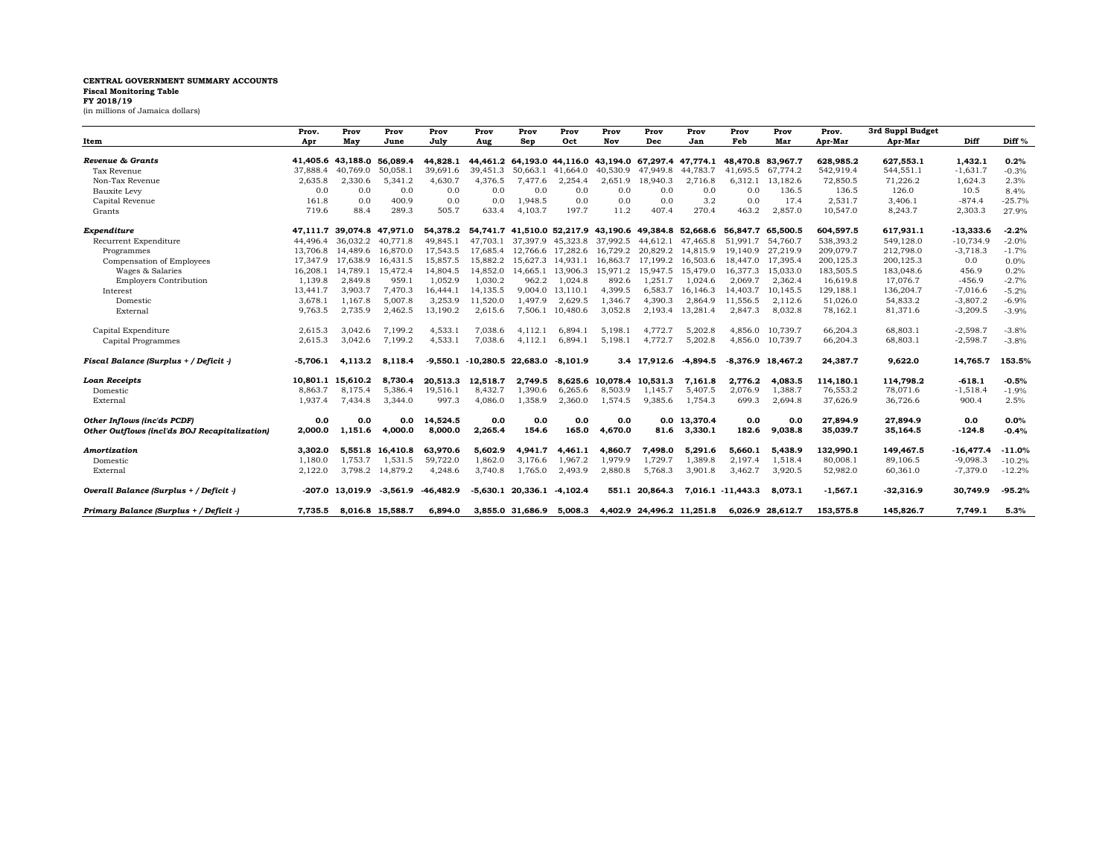## **CENTRAL GOVERNMENT SUMMARY ACCOUNTS**

## **Fiscal Monitoring Table FY 2018/19**

(in millions of Jamaica dollars)

|                                               | Prov.    | Prov              | Prov             | Prov        | Prov                 | Prov                | Prov              | Prov                                                  | Prov                       | Prov         | Prov              | Prov                | Prov.      | 3rd Suppl Budget |             |                   |
|-----------------------------------------------|----------|-------------------|------------------|-------------|----------------------|---------------------|-------------------|-------------------------------------------------------|----------------------------|--------------|-------------------|---------------------|------------|------------------|-------------|-------------------|
| Item                                          | Apr      | May               | June             | July        | Aug                  | Sep                 | Oct               | Nov                                                   | Dec                        | Jan          | Feb               | Mar                 | Apr-Mar    | Apr-Mar          | Diff        | Diff <sup>%</sup> |
| Revenue & Grants                              |          | 41,405.6 43,188.0 | 56.089.4         | 44.828.1    | 44,461.2             |                     | 64.193.0 44.116.0 |                                                       | 43,194.0 67,297.4 47,774.1 |              | 48.470.8 83.967.7 |                     | 628,985.2  | 627,553.1        | 1,432.1     | 0.2%              |
| Tax Revenue                                   | 37.888.4 | 40.769.0          | 50,058.1         | 39,691.6    | 39.451.3             | 50,663.1            | 41.664.0          | 40.530.9                                              | 47.949.8                   | 44.783.7     | 41.695.5          | 67.774.2            | 542,919.4  | 544,551.1        | $-1,631.7$  | $-0.3%$           |
| Non-Tax Revenue                               | 2,635.8  | 2,330.6           | 5,341.2          | 4,630.7     | 4,376.5              | 7,477.6             | 2,254.4           | 2,651.9                                               | 18,940.3                   | 2,716.8      | 6,312.1           | 13,182.6            | 72,850.5   | 71,226.2         | 1,624.3     | 2.3%              |
| Bauxite Levy                                  | 0.0      | 0.0               | 0.0              | 0.0         | 0.0                  | 0.0                 | 0.0               | 0.0                                                   | 0.0                        | 0.0          | 0.0               | 136.5               | 136.5      | 126.0            | 10.5        | 8.4%              |
| Capital Revenue                               | 161.8    | 0.0               | 400.9            | 0.0         | 0.0                  | 1,948.5             | 0.0               | 0.0                                                   | 0.0                        | 3.2          | 0.0               | 17.4                | 2,531.7    | 3,406.1          | $-874.4$    | $-25.7%$          |
| Grants                                        | 719.6    | 88.4              | 289.3            | 505.7       | 633.4                | 4,103.7             | 197.7             | 11.2                                                  | 407.4                      | 270.4        | 463.2             | 2,857.0             | 10,547.0   | 8,243.7          | 2,303.3     | 27.9%             |
| Expenditure                                   |          | 47.111.7 39.074.8 | 47,971.0         | 54.378.2    |                      |                     |                   | 54.741.7 41.510.0 52.217.9 43.190.6 49.384.8 52.668.6 |                            |              | 56.847.7 65.500.5 |                     | 604,597.5  | 617,931.1        | $-13,333.6$ | $-2.2%$           |
| Recurrent Expenditure                         | 44.496.4 | 36.032.2          | 40.771.8         | 49.845.1    | 47.703.1             | 37.397.9            | 45,323.8          | 37.992.5                                              | 44.612.1                   | 47.465.8     | 51.991.7          | 54.760.7            | 538,393.2  | 549,128.0        | $-10,734.9$ | $-2.0%$           |
| Programmes                                    |          | 13,706.8 14,489.6 | 16,870.0         | 17,543.5    | 17,685.4             |                     | 12,766.6 17,282.6 | 16,729.2                                              | 20,829.2                   | 14,815.9     |                   | 19,140.9 27,219.9   | 209,079.7  | 212,798.0        | $-3,718.3$  | $-1.7%$           |
| Compensation of Employees                     |          | 17,347.9 17,638.9 | 16,431.5         | 15,857.5    | 15,882.2             | 15,627.3            | 14,931.1          | 16.863.7                                              | 17.199.2                   | 16,503.6     | 18.447.0          | 17,395.4            | 200,125.3  | 200,125.3        | 0.0         | 0.0%              |
| Wages & Salaries                              | 16,208.1 | 14,789.1          | 15,472.4         | 14,804.5    | 14,852.0             | 14.665.1            | 13,906.3          | 15,971.2                                              | 15,947.5                   | 15,479.0     | 16,377.3          | 15,033.0            | 183,505.5  | 183,048.6        | 456.9       | 0.2%              |
| <b>Employers Contribution</b>                 | 1,139.8  | 2,849.8           | 959.1            | 1,052.9     | 1,030.2              | 962.2               | 1,024.8           | 892.6                                                 | 1,251.7                    | 1,024.6      | 2.069.7           | 2,362.4             | 16,619.8   | 17,076.7         | $-456.9$    | $-2.7%$           |
| Interest                                      | 13,441.7 | 3,903.7           | 7,470.3          | 16,444.1    | 14,135.5             | 9.004.0             | 13,110.1          | 4,399.5                                               | 6,583.7                    | 16,146.3     | 14,403.7          | 10,145.5            | 129,188.1  | 136,204.7        | $-7,016.6$  | $-5.2%$           |
| Domestic                                      | 3,678.1  | 1,167.8           | 5,007.8          | 3,253.9     | 11,520.0             | 1,497.9             | 2,629.5           | 1,346.7                                               | 4,390.3                    | 2,864.9      | 11,556.5          | 2,112.6             | 51,026.0   | 54,833.2         | $-3,807.2$  | $-6.9%$           |
| External                                      | 9,763.5  | 2,735.9           | 2,462.5          | 13,190.2    | 2,615.6              | 7,506.1             | 10,480.6          | 3,052.8                                               | 2,193.4                    | 13,281.4     | 2,847.3           | 8,032.8             | 78,162.1   | 81,371.6         | $-3,209.5$  | $-3.9%$           |
| Capital Expenditure                           | 2,615.3  | 3.042.6           | 7,199.2          | 4,533.1     | 7,038.6              | 4,112.1             | 6.894.1           | 5.198.1                                               | 4,772.7                    | 5,202.8      | 4.856.0           | 10.739.7            | 66,204.3   | 68,803.1         | $-2,598.7$  | $-3.8%$           |
| Capital Programmes                            | 2,615.3  | 3.042.6           | 7,199.2          | 4,533.      | 7,038.6              | 4,112.1             | 6,894.1           | 5,198.1                                               | 4,772.7                    | 5,202.8      | 4.856.0           | 10,739.7            | 66,204.3   | 68,803.1         | $-2,598.7$  | $-3.8%$           |
| Fiscal Balance (Surplus + / Deficit -)        | -5.706.1 | 4,113.2           | 8.118.4          | -9.550.1    | $-10.280.5$ 22.683.0 |                     | -8.101.9          |                                                       | 3.4 17.912.6               | $-4.894.5$   |                   | $-8.376.9$ 18.467.2 | 24,387.7   | 9,622.0          | 14,765.7    | 153.5%            |
| Loan Receipts                                 | 10.801.1 | 15.610.2          | 8,730.4          | 20.513.3    | 12,518.7             | 2.749.5             | 8.625.6           | 10,078.4                                              | 10.531.3                   | 7,161.8      | 2,776.2           | 4.083.5             | 114,180.1  | 114.798.2        | $-618.1$    | $-0.5%$           |
| Domestic                                      | 8,863.7  | 8,175.4           | 5,386.4          | 19,516.1    | 8,432.7              | 1,390.6             | 6,265.6           | 8,503.9                                               | 1,145.7                    | 5,407.5      | 2,076.9           | 1,388.7             | 76,553.2   | 78,071.6         | $-1,518.4$  | $-1.9%$           |
| External                                      | 1,937.4  | 7,434.8           | 3,344.0          | 997.3       | 4,086.0              | 1,358.9             | 2,360.0           | 1,574.5                                               | 9,385.6                    | 1,754.3      | 699.3             | 2,694.8             | 37,626.9   | 36,726.6         | 900.4       | 2.5%              |
| Other Inflows (inc'ds PCDF)                   | 0.0      | 0.0               | 0.0              | 14,524.5    | 0.0                  | 0.0                 | 0.0               | 0.0                                                   |                            | 0.0 13,370.4 | 0.0               | 0.0                 | 27,894.9   | 27,894.9         | 0.0         | 0.0%              |
| Other Outflows (incl'ds BOJ Recapitalization) | 2,000.0  | 1,151.6           | 4,000.0          | 8,000.0     | 2,265.4              | 154.6               | 165.0             | 4,670.0                                               | 81.6                       | 3,330.1      | 182.6             | 9,038.8             | 35,039.7   | 35,164.5         | $-124.8$    | $-0.4%$           |
| Amortization                                  | 3.302.0  | 5.551.8           | 16.410.8         | 63.970.6    | 5,602.9              | 4,941.7             | 4,461.1           | 4,860.7                                               | 7.498.0                    | 5,291.6      | 5.660.1           | 5.438.9             | 132,990.1  | 149.467.5        | $-16,477.4$ | $-11.0%$          |
| Domestic                                      | 1,180.0  | 1.753.7           | 1,531.5          | 59,722.0    | 1,862.0              | 3.176.6             | 1,967.2           | 1,979.9                                               | 1,729.7                    | 1,389.8      | 2,197.4           | 1,518.4             | 80,008.1   | 89,106.5         | $-9,098.3$  | $-10.2%$          |
| External                                      | 2,122.0  | 3,798.2           | 14,879.2         | 4,248.6     | 3,740.8              | 1,765.0             | 2,493.9           | 2,880.8                                               | 5,768.3                    | 3,901.8      | 3,462.7           | 3,920.5             | 52,982.0   | 60,361.0         | $-7,379.0$  | $-12.2%$          |
| Overall Balance (Surplus + / Deficit -)       |          | $-207.0$ 13.019.9 | $-3.561.9$       | $-46.482.9$ |                      | $-5.630.1$ 20.336.1 | -4.102.4          | 551.1                                                 | 20.864.3                   |              | 7.016.1 -11.443.3 | 8.073.1             | $-1,567.1$ | $-32.316.9$      | 30.749.9    | $-95.2%$          |
| Primary Balance (Surplus + / Deficit -)       | 7,735.5  |                   | 8,016.8 15,588.7 | 6,894.0     |                      | 3,855.0 31,686.9    | 5,008.3           |                                                       | 4,402.9 24,496.2 11,251.8  |              |                   | 6,026.9 28,612.7    | 153,575.8  | 145,826.7        | 7,749.1     | 5.3%              |